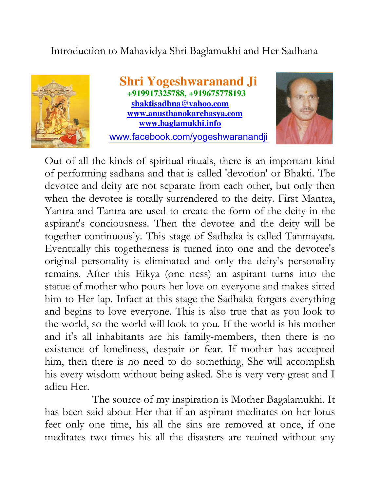## Introduction to Mahavidya Shri Baglamukhi and Her Sadhana



 **Shri Yogeshwaranand Ji +919917325788, +919675778193 shaktisadhna@yahoo.com www.anusthanokarehasya.com www.baglamukhi.info** 

www.facebook.com/yogeshwaranandji



Out of all the kinds of spiritual rituals, there is an important kind of performing sadhana and that is called 'devotion' or Bhakti. The devotee and deity are not separate from each other, but only then when the devotee is totally surrendered to the deity. First Mantra, Yantra and Tantra are used to create the form of the deity in the aspirant's conciousness. Then the devotee and the deity will be together continuously. This stage of Sadhaka is called Tanmayata. Eventually this togetherness is turned into one and the devotee's original personality is eliminated and only the deity's personality remains. After this Eikya (one ness) an aspirant turns into the statue of mother who pours her love on everyone and makes sitted him to Her lap. Infact at this stage the Sadhaka forgets everything and begins to love everyone. This is also true that as you look to the world, so the world will look to you. If the world is his mother and it's all inhabitants are his family-members, then there is no existence of loneliness, despair or fear. If mother has accepted him, then there is no need to do something, She will accomplish his every wisdom without being asked. She is very very great and I adieu Her.

 The source of my inspiration is Mother Bagalamukhi. It has been said about Her that if an aspirant meditates on her lotus feet only one time, his all the sins are removed at once, if one meditates two times his all the disasters are reuined without any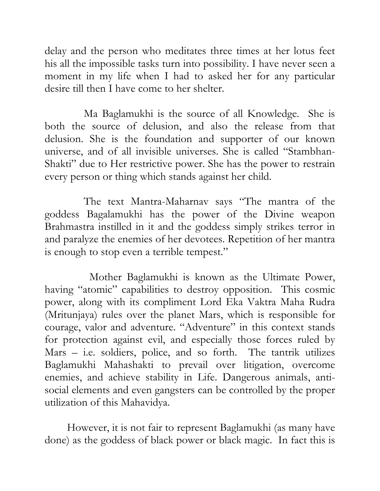delay and the person who meditates three times at her lotus feet his all the impossible tasks turn into possibility. I have never seen a moment in my life when I had to asked her for any particular desire till then I have come to her shelter.

 Ma Baglamukhi is the source of all Knowledge. She is both the source of delusion, and also the release from that delusion. She is the foundation and supporter of our known universe, and of all invisible universes. She is called "Stambhan-Shakti" due to Her restrictive power. She has the power to restrain every person or thing which stands against her child.

 The text Mantra-Maharnav says "The mantra of the goddess Bagalamukhi has the power of the Divine weapon Brahmastra instilled in it and the goddess simply strikes terror in and paralyze the enemies of her devotees. Repetition of her mantra is enough to stop even a terrible tempest."

 Mother Baglamukhi is known as the Ultimate Power, having "atomic" capabilities to destroy opposition. This cosmic power, along with its compliment Lord Eka Vaktra Maha Rudra (Mritunjaya) rules over the planet Mars, which is responsible for courage, valor and adventure. "Adventure" in this context stands for protection against evil, and especially those forces ruled by Mars – i.e. soldiers, police, and so forth. The tantrik utilizes Baglamukhi Mahashakti to prevail over litigation, overcome enemies, and achieve stability in Life. Dangerous animals, antisocial elements and even gangsters can be controlled by the proper utilization of this Mahavidya.

However, it is not fair to represent Baglamukhi (as many have done) as the goddess of black power or black magic. In fact this is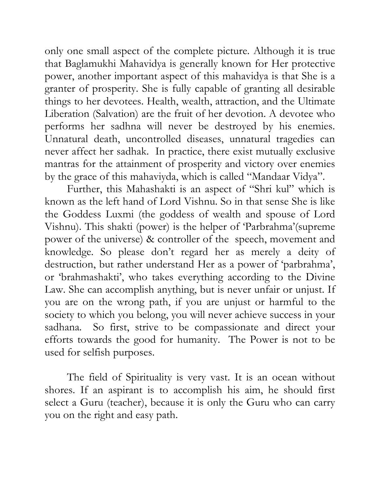only one small aspect of the complete picture. Although it is true that Baglamukhi Mahavidya is generally known for Her protective power, another important aspect of this mahavidya is that She is a granter of prosperity. She is fully capable of granting all desirable things to her devotees. Health, wealth, attraction, and the Ultimate Liberation (Salvation) are the fruit of her devotion. A devotee who performs her sadhna will never be destroyed by his enemies. Unnatural death, uncontrolled diseases, unnatural tragedies can never affect her sadhak. In practice, there exist mutually exclusive mantras for the attainment of prosperity and victory over enemies by the grace of this mahaviyda, which is called "Mandaar Vidya".

 Further, this Mahashakti is an aspect of "Shri kul" which is known as the left hand of Lord Vishnu. So in that sense She is like the Goddess Luxmi (the goddess of wealth and spouse of Lord Vishnu). This shakti (power) is the helper of 'Parbrahma'(supreme power of the universe) & controller of the speech, movement and knowledge. So please don't regard her as merely a deity of destruction, but rather understand Her as a power of 'parbrahma', or 'brahmashakti', who takes everything according to the Divine Law. She can accomplish anything, but is never unfair or unjust. If you are on the wrong path, if you are unjust or harmful to the society to which you belong, you will never achieve success in your sadhana. So first, strive to be compassionate and direct your efforts towards the good for humanity. The Power is not to be used for selfish purposes.

The field of Spirituality is very vast. It is an ocean without shores. If an aspirant is to accomplish his aim, he should first select a Guru (teacher), because it is only the Guru who can carry you on the right and easy path.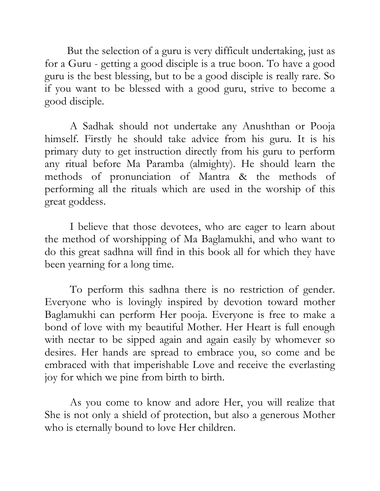But the selection of a guru is very difficult undertaking, just as for a Guru - getting a good disciple is a true boon. To have a good guru is the best blessing, but to be a good disciple is really rare. So if you want to be blessed with a good guru, strive to become a good disciple.

 A Sadhak should not undertake any Anushthan or Pooja himself. Firstly he should take advice from his guru. It is his primary duty to get instruction directly from his guru to perform any ritual before Ma Paramba (almighty). He should learn the methods of pronunciation of Mantra & the methods of performing all the rituals which are used in the worship of this great goddess.

 I believe that those devotees, who are eager to learn about the method of worshipping of Ma Baglamukhi, and who want to do this great sadhna will find in this book all for which they have been yearning for a long time.

 To perform this sadhna there is no restriction of gender. Everyone who is lovingly inspired by devotion toward mother Baglamukhi can perform Her pooja. Everyone is free to make a bond of love with my beautiful Mother. Her Heart is full enough with nectar to be sipped again and again easily by whomever so desires. Her hands are spread to embrace you, so come and be embraced with that imperishable Love and receive the everlasting joy for which we pine from birth to birth.

 As you come to know and adore Her, you will realize that She is not only a shield of protection, but also a generous Mother who is eternally bound to love Her children.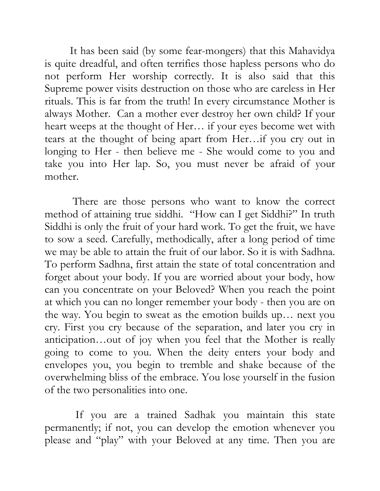It has been said (by some fear-mongers) that this Mahavidya is quite dreadful, and often terrifies those hapless persons who do not perform Her worship correctly. It is also said that this Supreme power visits destruction on those who are careless in Her rituals. This is far from the truth! In every circumstance Mother is always Mother. Can a mother ever destroy her own child? If your heart weeps at the thought of Her… if your eyes become wet with tears at the thought of being apart from Her…if you cry out in longing to Her - then believe me - She would come to you and take you into Her lap. So, you must never be afraid of your mother.

 There are those persons who want to know the correct method of attaining true siddhi. "How can I get Siddhi?" In truth Siddhi is only the fruit of your hard work. To get the fruit, we have to sow a seed. Carefully, methodically, after a long period of time we may be able to attain the fruit of our labor. So it is with Sadhna. To perform Sadhna, first attain the state of total concentration and forget about your body. If you are worried about your body, how can you concentrate on your Beloved? When you reach the point at which you can no longer remember your body - then you are on the way. You begin to sweat as the emotion builds up… next you cry. First you cry because of the separation, and later you cry in anticipation…out of joy when you feel that the Mother is really going to come to you. When the deity enters your body and envelopes you, you begin to tremble and shake because of the overwhelming bliss of the embrace. You lose yourself in the fusion of the two personalities into one.

 If you are a trained Sadhak you maintain this state permanently; if not, you can develop the emotion whenever you please and "play" with your Beloved at any time. Then you are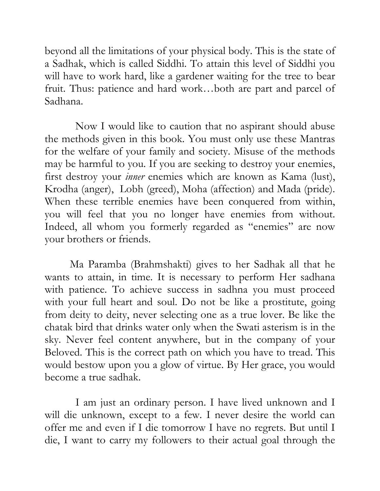beyond all the limitations of your physical body. This is the state of a Sadhak, which is called Siddhi. To attain this level of Siddhi you will have to work hard, like a gardener waiting for the tree to bear fruit. Thus: patience and hard work…both are part and parcel of Sadhana.

 Now I would like to caution that no aspirant should abuse the methods given in this book. You must only use these Mantras for the welfare of your family and society. Misuse of the methods may be harmful to you. If you are seeking to destroy your enemies, first destroy your inner enemies which are known as Kama (lust), Krodha (anger), Lobh (greed), Moha (affection) and Mada (pride). When these terrible enemies have been conquered from within, you will feel that you no longer have enemies from without. Indeed, all whom you formerly regarded as "enemies" are now your brothers or friends.

 Ma Paramba (Brahmshakti) gives to her Sadhak all that he wants to attain, in time. It is necessary to perform Her sadhana with patience. To achieve success in sadhna you must proceed with your full heart and soul. Do not be like a prostitute, going from deity to deity, never selecting one as a true lover. Be like the chatak bird that drinks water only when the Swati asterism is in the sky. Never feel content anywhere, but in the company of your Beloved. This is the correct path on which you have to tread. This would bestow upon you a glow of virtue. By Her grace, you would become a true sadhak.

 I am just an ordinary person. I have lived unknown and I will die unknown, except to a few. I never desire the world can offer me and even if I die tomorrow I have no regrets. But until I die, I want to carry my followers to their actual goal through the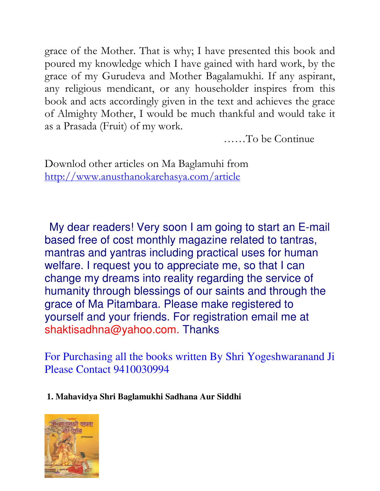grace of the Mother. That is why; I have presented this book and poured my knowledge which I have gained with hard work, by the grace of my Gurudeva and Mother Bagalamukhi. If any aspirant, any religious mendicant, or any householder inspires from this book and acts accordingly given in the text and achieves the grace of Almighty Mother, I would be much thankful and would take it as a Prasada (Fruit) of my work.

……To be Continue

Downlod other articles on Ma Baglamuhi from http://www.anusthanokarehasya.com/article

 My dear readers! Very soon I am going to start an E-mail based free of cost monthly magazine related to tantras, mantras and yantras including practical uses for human welfare. I request you to appreciate me, so that I can change my dreams into reality regarding the service of humanity through blessings of our saints and through the grace of Ma Pitambara. Please make registered to yourself and your friends. For registration email me at shaktisadhna@yahoo.com. Thanks

For Purchasing all the books written By Shri Yogeshwaranand Ji Please Contact 9410030994

## **1. Mahavidya Shri Baglamukhi Sadhana Aur Siddhi**